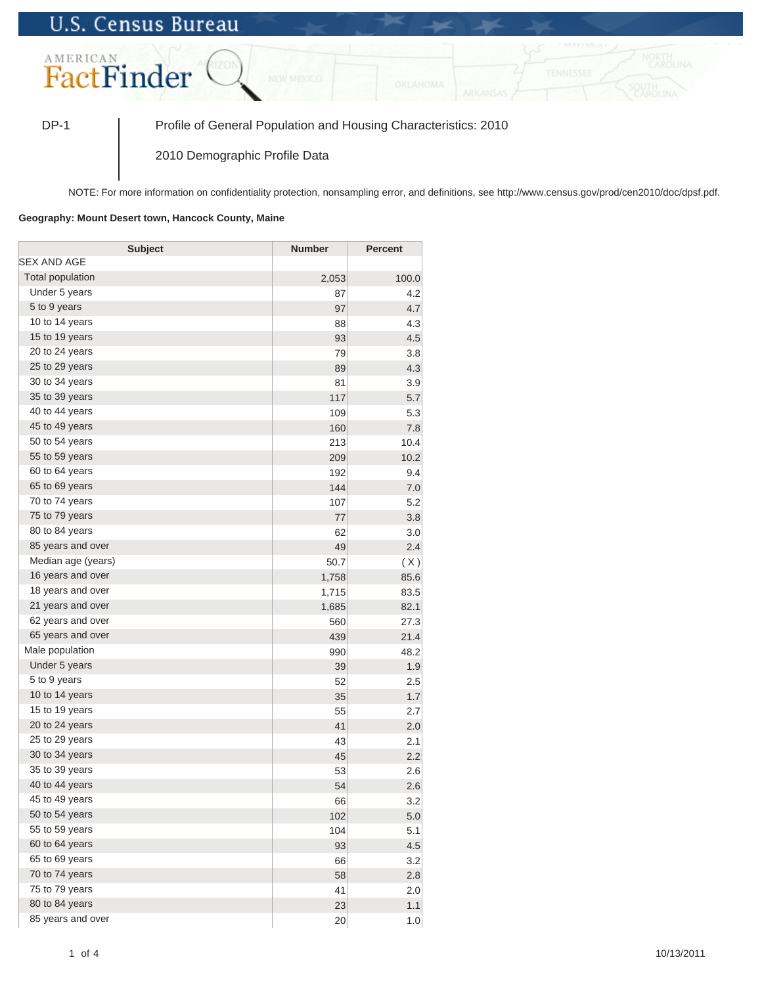## **U.S. Census Bureau**



DP-1 Profile of General Population and Housing Characteristics: 2010

2010 Demographic Profile Data

NOTE: For more information on confidentiality protection, nonsampling error, and definitions, see http://www.census.gov/prod/cen2010/doc/dpsf.pdf.

## **Geography: Mount Desert town, Hancock County, Maine**

| <b>Subject</b>     | <b>Number</b> | <b>Percent</b> |
|--------------------|---------------|----------------|
| SEX AND AGE        |               |                |
| Total population   | 2,053         | 100.0          |
| Under 5 years      | 87            | 4.2            |
| 5 to 9 years       | 97            | 4.7            |
| 10 to 14 years     | 88            | 4.3            |
| 15 to 19 years     | 93            | 4.5            |
| 20 to 24 years     | 79            | 3.8            |
| 25 to 29 years     | 89            | 4.3            |
| 30 to 34 years     | 81            | 3.9            |
| 35 to 39 years     | 117           | 5.7            |
| 40 to 44 years     | 109           | 5.3            |
| 45 to 49 years     | 160           | 7.8            |
| 50 to 54 years     | 213           | 10.4           |
| 55 to 59 years     | 209           | 10.2           |
| 60 to 64 years     | 192           | 9.4            |
| 65 to 69 years     | 144           | 7.0            |
| 70 to 74 years     | 107           | 5.2            |
| 75 to 79 years     | 77            | 3.8            |
| 80 to 84 years     | 62            | 3.0            |
| 85 years and over  | 49            | 2.4            |
| Median age (years) | 50.7          | (X)            |
| 16 years and over  | 1,758         | 85.6           |
| 18 years and over  | 1,715         | 83.5           |
| 21 years and over  | 1,685         | 82.1           |
| 62 years and over  | 560           | 27.3           |
| 65 years and over  | 439           | 21.4           |
| Male population    | 990           | 48.2           |
| Under 5 years      | 39            | 1.9            |
| 5 to 9 years       | 52            | 2.5            |
| 10 to 14 years     | 35            | 1.7            |
| 15 to 19 years     | 55            | 2.7            |
| 20 to 24 years     | 41            | 2.0            |
| 25 to 29 years     | 43            | 2.1            |
| 30 to 34 years     | 45            | 2.2            |
| 35 to 39 years     | 53            | 2.6            |
| 40 to 44 years     | 54            | 2.6            |
| 45 to 49 years     | 66            | 3.2            |
| 50 to 54 years     | 102           | 5.0            |
| 55 to 59 years     | 104           | 5.1            |
| 60 to 64 years     | 93            | 4.5            |
| 65 to 69 years     | 66            | 3.2            |
| 70 to 74 years     | 58            | 2.8            |
| 75 to 79 years     | 41            | 2.0            |
| 80 to 84 years     | 23            | 1.1            |
| 85 years and over  | 20            | 1.0            |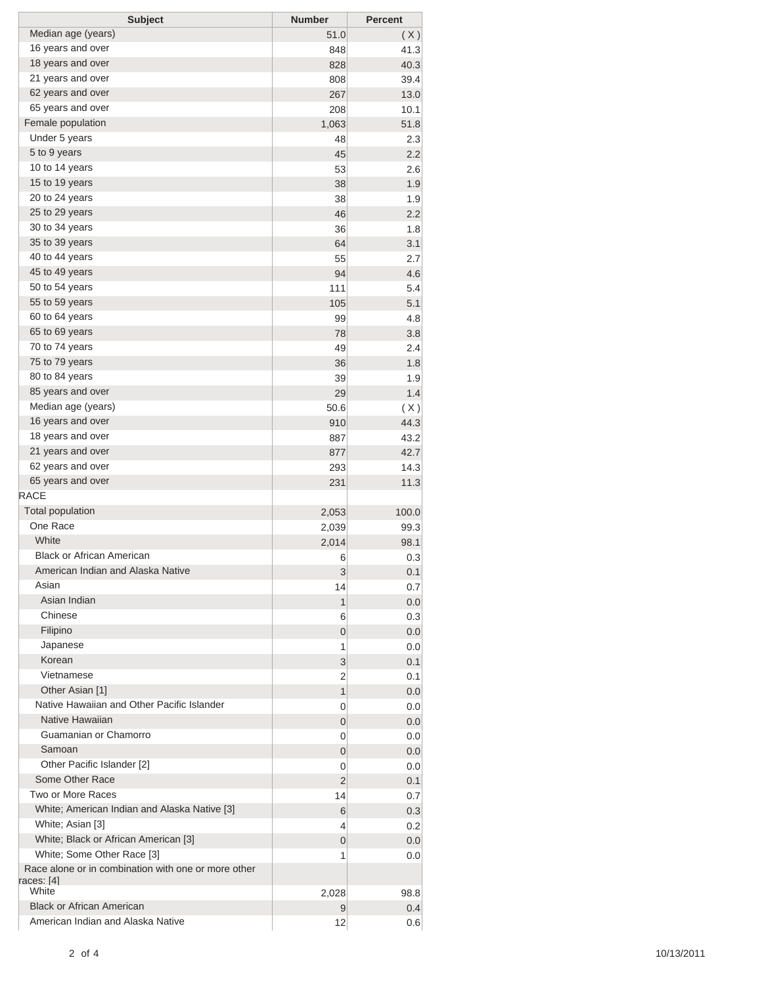| <b>Subject</b>                                                    | <b>Number</b> | <b>Percent</b> |
|-------------------------------------------------------------------|---------------|----------------|
| Median age (years)                                                | 51.0          | (X)            |
| 16 years and over                                                 | 848           | 41.3           |
| 18 years and over                                                 | 828           | 40.3           |
| 21 years and over                                                 | 808           | 39.4           |
| 62 years and over                                                 | 267           | 13.0           |
| 65 years and over                                                 | 208           | 10.1           |
| Female population                                                 | 1,063         | 51.8           |
| Under 5 years                                                     | 48            | 2.3            |
| 5 to 9 years                                                      | 45            | 2.2            |
| 10 to 14 years                                                    | 53            | 2.6            |
| 15 to 19 years                                                    | 38            | 1.9            |
| 20 to 24 years                                                    | 38            | 1.9            |
| 25 to 29 years                                                    | 46            | 2.2            |
| 30 to 34 years                                                    | 36            | 1.8            |
| 35 to 39 years                                                    | 64            | 3.1            |
| 40 to 44 years                                                    | 55            | 2.7            |
| 45 to 49 years                                                    | 94            | 4.6            |
| 50 to 54 years                                                    | 111           | 5.4            |
| 55 to 59 years                                                    | 105           | 5.1            |
| 60 to 64 years                                                    | 99            | 4.8            |
| 65 to 69 years                                                    | 78            | 3.8            |
| 70 to 74 years                                                    | 49            | 2.4            |
| 75 to 79 years                                                    | 36            | 1.8            |
| 80 to 84 years                                                    | 39            | 1.9            |
| 85 years and over                                                 | 29            | 1.4            |
| Median age (years)                                                | 50.6          | (X)            |
| 16 years and over                                                 | 910           | 44.3           |
| 18 years and over                                                 | 887           | 43.2           |
| 21 years and over                                                 | 877           | 42.7           |
| 62 years and over                                                 | 293           | 14.3           |
| 65 years and over                                                 | 231           | 11.3           |
| <b>RACE</b>                                                       |               |                |
| <b>Total population</b>                                           | 2,053         | 100.0          |
| One Race                                                          | 2,039         | 99.3           |
| White                                                             | 2,014         | 98.1           |
| <b>Black or African American</b>                                  | 6             | 0.3            |
| American Indian and Alaska Native                                 | 3             | 0.1            |
| Asian                                                             | 14            | 0.7            |
| Asian Indian                                                      | 1             | 0.0            |
| Chinese                                                           | 6             | 0.3            |
| Filipino                                                          | 0             | 0.0            |
| Japanese                                                          | 1             | 0.0            |
| Korean                                                            | 3             | 0.1            |
| Vietnamese                                                        | 2             | 0.1            |
| Other Asian [1]                                                   | 1             | 0.0            |
| Native Hawaiian and Other Pacific Islander                        | 0             | 0.0            |
| Native Hawaiian                                                   | 0             | 0.0            |
| Guamanian or Chamorro                                             | 0             | 0.0            |
| Samoan                                                            | 0             | 0.0            |
| Other Pacific Islander [2]                                        | 0             | 0.0            |
| Some Other Race                                                   | 2             | 0.1            |
| Two or More Races                                                 | 14            | 0.7            |
| White; American Indian and Alaska Native [3]                      | 6             | 0.3            |
| White; Asian [3]                                                  | 4             | 0.2            |
| White; Black or African American [3]                              | 0             | 0.0            |
| White; Some Other Race [3]                                        | 1             | 0.0            |
| Race alone or in combination with one or more other<br>races: [4] |               |                |
| White                                                             | 2,028         | 98.8           |
| <b>Black or African American</b>                                  | 9             | 0.4            |
| American Indian and Alaska Native                                 | 12            | 0.6            |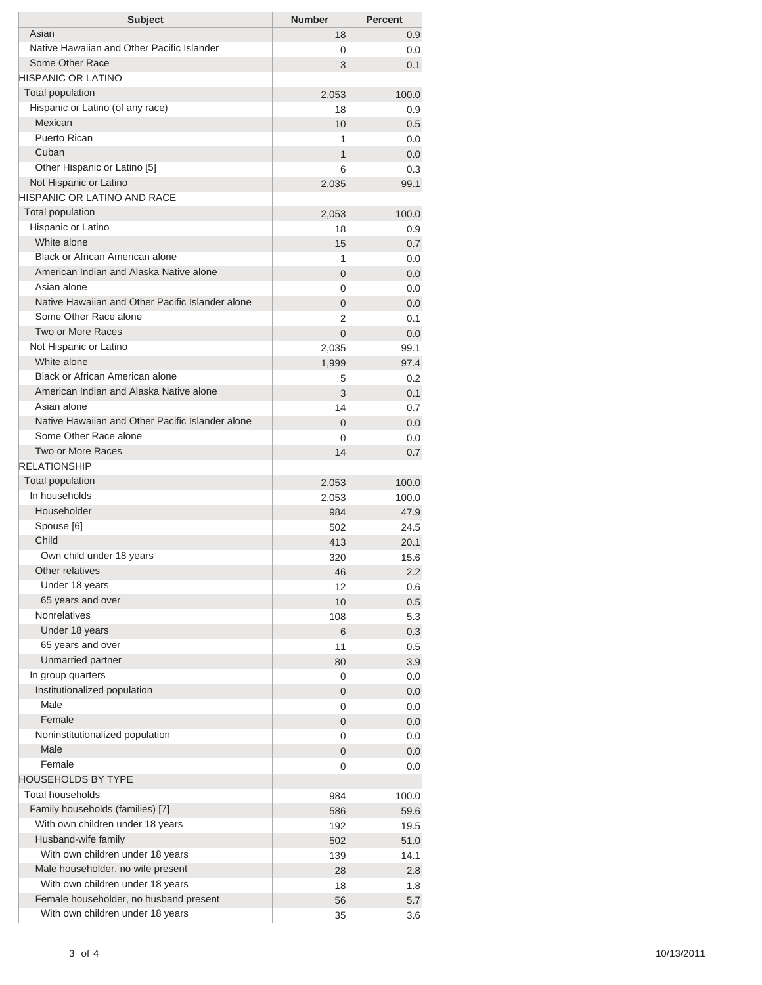| <b>Subject</b>                                                                    | <b>Number</b>  | <b>Percent</b> |
|-----------------------------------------------------------------------------------|----------------|----------------|
| Asian                                                                             | 18             | 0.9            |
| Native Hawaiian and Other Pacific Islander                                        | 0              | 0.0            |
| Some Other Race                                                                   | 3              | 0.1            |
| HISPANIC OR LATINO                                                                |                |                |
| <b>Total population</b>                                                           | 2,053          | 100.0          |
| Hispanic or Latino (of any race)<br>Mexican                                       | 18             | 0.9            |
| <b>Puerto Rican</b>                                                               | 10<br>1        | 0.5<br>0.0     |
| Cuban                                                                             | 1              | 0.0            |
| Other Hispanic or Latino [5]                                                      | 6              | 0.3            |
| Not Hispanic or Latino                                                            | 2,035          | 99.1           |
| HISPANIC OR LATINO AND RACE                                                       |                |                |
| <b>Total population</b>                                                           | 2,053          | 100.0          |
| Hispanic or Latino                                                                | 18             | 0.9            |
| White alone                                                                       | 15             | 0.7            |
| <b>Black or African American alone</b>                                            | 1              | 0.0            |
| American Indian and Alaska Native alone                                           | 0              | 0.0            |
| Asian alone                                                                       | 0              | 0.0            |
| Native Hawaiian and Other Pacific Islander alone                                  | 0              | 0.0            |
| Some Other Race alone                                                             | 2              | 0.1            |
| <b>Two or More Races</b>                                                          | $\overline{0}$ | 0.0            |
| Not Hispanic or Latino                                                            | 2,035          | 99.1           |
| White alone                                                                       | 1,999          | 97.4           |
| <b>Black or African American alone</b><br>American Indian and Alaska Native alone | 5              | 0.2            |
| Asian alone                                                                       | 3              | 0.1            |
| Native Hawaiian and Other Pacific Islander alone                                  | 14             | 0.7            |
| Some Other Race alone                                                             | 0              | 0.0            |
| <b>Two or More Races</b>                                                          | 0<br>14        | 0.0<br>0.7     |
| <b>RELATIONSHIP</b>                                                               |                |                |
| Total population                                                                  | 2,053          | 100.0          |
| In households                                                                     | 2,053          | 100.0          |
| Householder                                                                       | 984            | 47.9           |
| Spouse [6]                                                                        | 502            | 24.5           |
| Child                                                                             | 413            | 20.1           |
| Own child under 18 years                                                          | 320            | 15.6           |
| Other relatives                                                                   | 46             | 2.2            |
| Under 18 years                                                                    | 12             | 0.6            |
| 65 years and over                                                                 | 10             | 0.5            |
| Nonrelatives                                                                      | 108            | 5.3            |
| Under 18 years                                                                    | 6              | 0.3            |
| 65 years and over                                                                 | 11             | 0.5            |
| Unmarried partner                                                                 | 80             | 3.9            |
| In group quarters                                                                 | 0              | 0.0            |
| Institutionalized population                                                      | 0              | 0.0            |
| Male<br>Female                                                                    | 0              | 0.0            |
| Noninstitutionalized population                                                   | 0              | 0.0            |
| Male                                                                              | 0              | 0.0            |
| Female                                                                            | 0<br>0         | 0.0<br>0.0     |
| HOUSEHOLDS BY TYPE                                                                |                |                |
| <b>Total households</b>                                                           | 984            | 100.0          |
| Family households (families) [7]                                                  | 586            | 59.6           |
| With own children under 18 years                                                  | 192            | 19.5           |
| Husband-wife family                                                               | 502            | 51.0           |
| With own children under 18 years                                                  | 139            | 14.1           |
| Male householder, no wife present                                                 | 28             | 2.8            |
| With own children under 18 years                                                  | 18             | 1.8            |
| Female householder, no husband present                                            | 56             | 5.7            |
| With own children under 18 years                                                  | 35             | 3.6            |